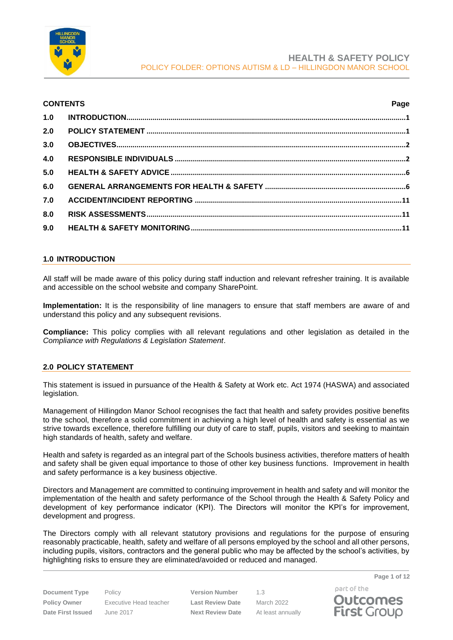

### **CONTENTS Page**

| 2.0   |  |
|-------|--|
| 3.0   |  |
| 4.0   |  |
| $5.0$ |  |
| 6.0   |  |
| 7.0   |  |
| 8.0   |  |
| 9.0   |  |

## <span id="page-0-0"></span>**1.0 INTRODUCTION**

All staff will be made aware of this policy during staff induction and relevant refresher training. It is available and accessible on the school website and company SharePoint.

**Implementation:** It is the responsibility of line managers to ensure that staff members are aware of and understand this policy and any subsequent revisions.

**Compliance:** This policy complies with all relevant regulations and other legislation as detailed in the *Compliance with Regulations & Legislation Statement*.

# <span id="page-0-1"></span>**2.0 POLICY STATEMENT**

This statement is issued in pursuance of the Health & Safety at Work etc. Act 1974 (HASWA) and associated legislation.

Management of Hillingdon Manor School recognises the fact that health and safety provides positive benefits to the school, therefore a solid commitment in achieving a high level of health and safety is essential as we strive towards excellence, therefore fulfilling our duty of care to staff, pupils, visitors and seeking to maintain high standards of health, safety and welfare.

Health and safety is regarded as an integral part of the Schools business activities, therefore matters of health and safety shall be given equal importance to those of other key business functions. Improvement in health and safety performance is a key business objective.

Directors and Management are committed to continuing improvement in health and safety and will monitor the implementation of the health and safety performance of the School through the Health & Safety Policy and development of key performance indicator (KPI). The Directors will monitor the KPI's for improvement, development and progress.

The Directors comply with all relevant statutory provisions and regulations for the purpose of ensuring reasonably practicable, health, safety and welfare of all persons employed by the school and all other persons, including pupils, visitors, contractors and the general public who may be affected by the school's activities, by highlighting risks to ensure they are eliminated/avoided or reduced and managed.

**Document Type** Policy **Version Number** 1.3 **Policy Owner** Executive Head teacher **Last Review Date** March 2022 **Date First Issued** June 2017 **Next Review Date** At least annually



**Page 1 of 12**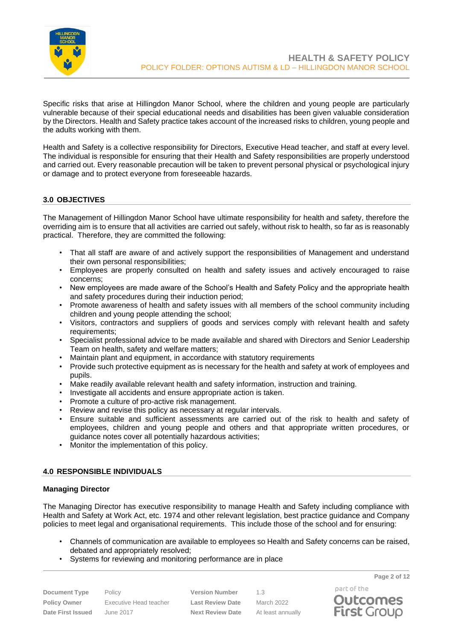

Specific risks that arise at Hillingdon Manor School, where the children and young people are particularly vulnerable because of their special educational needs and disabilities has been given valuable consideration by the Directors. Health and Safety practice takes account of the increased risks to children, young people and the adults working with them.

Health and Safety is a collective responsibility for Directors, Executive Head teacher, and staff at every level. The individual is responsible for ensuring that their Health and Safety responsibilities are properly understood and carried out. Every reasonable precaution will be taken to prevent personal physical or psychological injury or damage and to protect everyone from foreseeable hazards.

# <span id="page-1-0"></span>**3.0 OBJECTIVES**

The Management of Hillingdon Manor School have ultimate responsibility for health and safety, therefore the overriding aim is to ensure that all activities are carried out safely, without risk to health, so far as is reasonably practical. Therefore, they are committed the following:

- That all staff are aware of and actively support the responsibilities of Management and understand their own personal responsibilities;
- Employees are properly consulted on health and safety issues and actively encouraged to raise concerns;
- New employees are made aware of the School's Health and Safety Policy and the appropriate health and safety procedures during their induction period;
- Promote awareness of health and safety issues with all members of the school community including children and young people attending the school;
- Visitors, contractors and suppliers of goods and services comply with relevant health and safety requirements;
- Specialist professional advice to be made available and shared with Directors and Senior Leadership Team on health, safety and welfare matters;
- Maintain plant and equipment, in accordance with statutory requirements
- Provide such protective equipment as is necessary for the health and safety at work of employees and pupils.
- Make readily available relevant health and safety information, instruction and training.
- Investigate all accidents and ensure appropriate action is taken.
- Promote a culture of pro-active risk management.
- Review and revise this policy as necessary at regular intervals.
- Ensure suitable and sufficient assessments are carried out of the risk to health and safety of employees, children and young people and others and that appropriate written procedures, or guidance notes cover all potentially hazardous activities;
- Monitor the implementation of this policy.

## <span id="page-1-1"></span>**4.0 RESPONSIBLE INDIVIDUALS**

#### **Managing Director**

The Managing Director has executive responsibility to manage Health and Safety including compliance with Health and Safety at Work Act, etc. 1974 and other relevant legislation, best practice guidance and Company policies to meet legal and organisational requirements. This include those of the school and for ensuring:

- Channels of communication are available to employees so Health and Safety concerns can be raised, debated and appropriately resolved;
- Systems for reviewing and monitoring performance are in place

| <b>Document Type</b>     |
|--------------------------|
| <b>Policy Owner</b>      |
| <b>Date First Issued</b> |

Policy **Version Number** 1.3 **Policy Owner** Executive Head teacher **Last Review Date** March 2022 **Date First Issued** June 2017 **Next Review Date** At least annually

part of the **Outcomes First Group** 

**Page 2 of 12**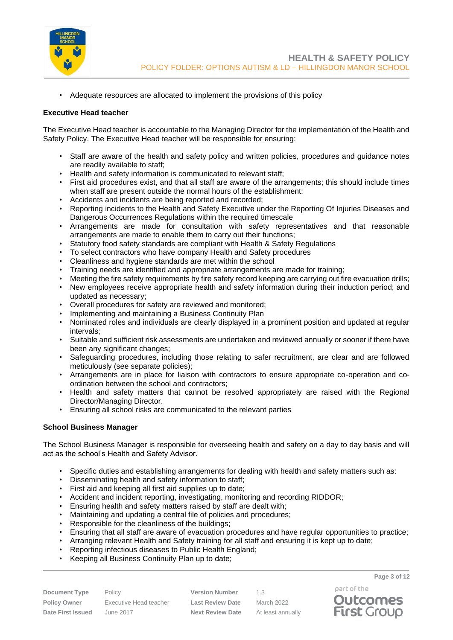

• Adequate resources are allocated to implement the provisions of this policy

### **Executive Head teacher**

The Executive Head teacher is accountable to the Managing Director for the implementation of the Health and Safety Policy. The Executive Head teacher will be responsible for ensuring:

- Staff are aware of the health and safety policy and written policies, procedures and guidance notes are readily available to staff;
- Health and safety information is communicated to relevant staff;
- First aid procedures exist, and that all staff are aware of the arrangements; this should include times when staff are present outside the normal hours of the establishment;
- Accidents and incidents are being reported and recorded;
- Reporting incidents to the Health and Safety Executive under the Reporting Of Injuries Diseases and Dangerous Occurrences Regulations within the required timescale
- Arrangements are made for consultation with safety representatives and that reasonable arrangements are made to enable them to carry out their functions;
- Statutory food safety standards are compliant with Health & Safety Regulations
- To select contractors who have company Health and Safety procedures
- Cleanliness and hygiene standards are met within the school
- Training needs are identified and appropriate arrangements are made for training;
- Meeting the fire safety requirements by fire safety record keeping are carrying out fire evacuation drills;
- New employees receive appropriate health and safety information during their induction period; and updated as necessary;
- Overall procedures for safety are reviewed and monitored;
- Implementing and maintaining a Business Continuity Plan
- Nominated roles and individuals are clearly displayed in a prominent position and updated at regular intervals;
- Suitable and sufficient risk assessments are undertaken and reviewed annually or sooner if there have been any significant changes;
- Safeguarding procedures, including those relating to safer recruitment, are clear and are followed meticulously (see separate policies);
- Arrangements are in place for liaison with contractors to ensure appropriate co-operation and coordination between the school and contractors;
- Health and safety matters that cannot be resolved appropriately are raised with the Regional Director/Managing Director.
- Ensuring all school risks are communicated to the relevant parties

#### **School Business Manager**

The School Business Manager is responsible for overseeing health and safety on a day to day basis and will act as the school's Health and Safety Advisor.

- Specific duties and establishing arrangements for dealing with health and safety matters such as:
- Disseminating health and safety information to staff;
- First aid and keeping all first aid supplies up to date;
- Accident and incident reporting, investigating, monitoring and recording RIDDOR;
- Ensuring health and safety matters raised by staff are dealt with;
- Maintaining and updating a central file of policies and procedures;
- Responsible for the cleanliness of the buildings;
- Ensuring that all staff are aware of evacuation procedures and have regular opportunities to practice;
- Arranging relevant Health and Safety training for all staff and ensuring it is kept up to date;
- Reporting infectious diseases to Public Health England;
- Keeping all Business Continuity Plan up to date;

**Document Type** Policy **Version Number** 1.3 **Policy Owner** Executive Head teacher **Last Review Date** March 2022 **Date First Issued** June 2017 **Next Review Date** At least annually

**Page 3 of 12**

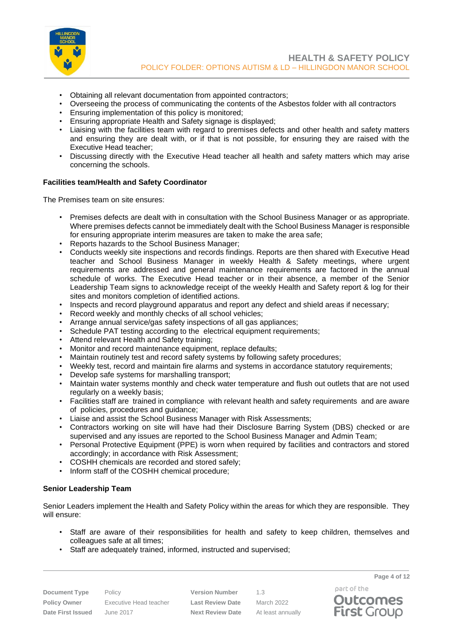

- Obtaining all relevant documentation from appointed contractors;
- Overseeing the process of communicating the contents of the Asbestos folder with all contractors
- Ensuring implementation of this policy is monitored;
- Ensuring appropriate Health and Safety signage is displayed;
- Liaising with the facilities team with regard to premises defects and other health and safety matters and ensuring they are dealt with, or if that is not possible, for ensuring they are raised with the Executive Head teacher;
- Discussing directly with the Executive Head teacher all health and safety matters which may arise concerning the schools.

## **Facilities team/Health and Safety Coordinator**

The Premises team on site ensures:

- Premises defects are dealt with in consultation with the School Business Manager or as appropriate. Where premises defects cannot be immediately dealt with the School Business Manager is responsible for ensuring appropriate interim measures are taken to make the area safe;
- Reports hazards to the School Business Manager;
- Conducts weekly site inspections and records findings. Reports are then shared with Executive Head teacher and School Business Manager in weekly Health & Safety meetings, where urgent requirements are addressed and general maintenance requirements are factored in the annual schedule of works. The Executive Head teacher or in their absence, a member of the Senior Leadership Team signs to acknowledge receipt of the weekly Health and Safety report & log for their sites and monitors completion of identified actions.
- Inspects and record playground apparatus and report any defect and shield areas if necessary;
- Record weekly and monthly checks of all school vehicles:
- Arrange annual service/gas safety inspections of all gas appliances;
- Schedule PAT testing according to the electrical equipment requirements;
- Attend relevant Health and Safety training;
- Monitor and record maintenance equipment, replace defaults;
- Maintain routinely test and record safety systems by following safety procedures;
- Weekly test, record and maintain fire alarms and systems in accordance statutory requirements;
- Develop safe systems for marshalling transport;
- Maintain water systems monthly and check water temperature and flush out outlets that are not used regularly on a weekly basis;
- Facilities staff are trained in compliance with relevant health and safety requirements and are aware of policies, procedures and guidance;
- Liaise and assist the School Business Manager with Risk Assessments;
- Contractors working on site will have had their Disclosure Barring System (DBS) checked or are supervised and any issues are reported to the School Business Manager and Admin Team;
- Personal Protective Equipment (PPE) is worn when required by facilities and contractors and stored accordingly; in accordance with Risk Assessment;
- COSHH chemicals are recorded and stored safely;
- Inform staff of the COSHH chemical procedure;

## **Senior Leadership Team**

Senior Leaders implement the Health and Safety Policy within the areas for which they are responsible. They will ensure:

- Staff are aware of their responsibilities for health and safety to keep children, themselves and colleagues safe at all times;
- Staff are adequately trained, informed, instructed and supervised;

**Document Type** Policy **Version Number** 1.3 **Policy Owner** Executive Head teacher **Last Review Date** March 2022 **Date First Issued** June 2017 **Next Review Date** At least annually

part of the

**Page 4 of 12**

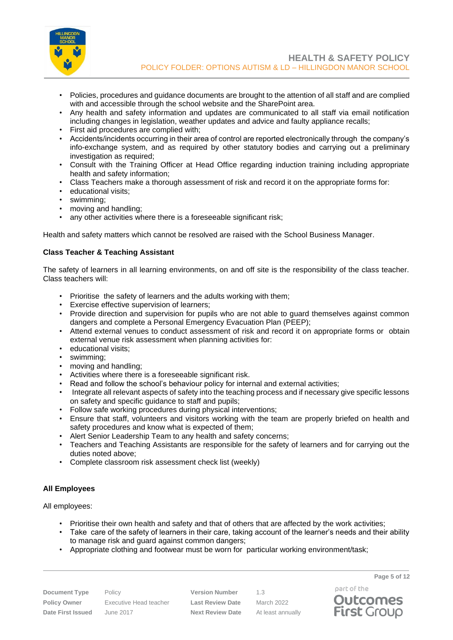

- Policies, procedures and guidance documents are brought to the attention of all staff and are complied with and accessible through the school website and the SharePoint area.
- Any health and safety information and updates are communicated to all staff via email notification including changes in legislation, weather updates and advice and faulty appliance recalls;
- First aid procedures are complied with;
- Accidents/incidents occurring in their area of control are reported electronically through the company's info-exchange system, and as required by other statutory bodies and carrying out a preliminary investigation as required;
- Consult with the Training Officer at Head Office regarding induction training including appropriate health and safety information;
- Class Teachers make a thorough assessment of risk and record it on the appropriate forms for:
- educational visits;
- swimming;<br>• moving and
- moving and handling;
- any other activities where there is a foreseeable significant risk;

Health and safety matters which cannot be resolved are raised with the School Business Manager.

## **Class Teacher & Teaching Assistant**

The safety of learners in all learning environments, on and off site is the responsibility of the class teacher. Class teachers will:

- Prioritise the safety of learners and the adults working with them;
- Exercise effective supervision of learners;
- Provide direction and supervision for pupils who are not able to guard themselves against common dangers and complete a Personal Emergency Evacuation Plan (PEEP);
- Attend external venues to conduct assessment of risk and record it on appropriate forms or obtain external venue risk assessment when planning activities for:
- educational visits:
- swimming;
- moving and handling;
- Activities where there is a foreseeable significant risk.
- Read and follow the school's behaviour policy for internal and external activities;
- Integrate all relevant aspects of safety into the teaching process and if necessary give specific lessons on safety and specific guidance to staff and pupils;
- Follow safe working procedures during physical interventions;
- Ensure that staff, volunteers and visitors working with the team are properly briefed on health and safety procedures and know what is expected of them;
- Alert Senior Leadership Team to any health and safety concerns;
- Teachers and Teaching Assistants are responsible for the safety of learners and for carrying out the duties noted above;
- Complete classroom risk assessment check list (weekly)

## **All Employees**

All employees:

- Prioritise their own health and safety and that of others that are affected by the work activities;
- Take care of the safety of learners in their care, taking account of the learner's needs and their ability to manage risk and guard against common dangers;
- Appropriate clothing and footwear must be worn for particular working environment/task;

**Policy Owner** Executive Head teacher **Last Review Date** March 2022 **Date First Issued** June 2017 **Next Review Date** At least annually

**Document Type** Policy **Version Number** 1.3

**Page 5 of 12**



part of the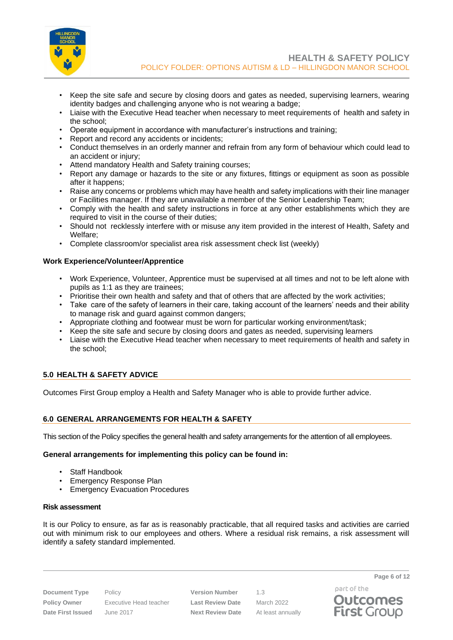

- Keep the site safe and secure by closing doors and gates as needed, supervising learners, wearing identity badges and challenging anyone who is not wearing a badge;
- Liaise with the Executive Head teacher when necessary to meet requirements of health and safety in the school;
- Operate equipment in accordance with manufacturer's instructions and training;
- Report and record any accidents or incidents;
- Conduct themselves in an orderly manner and refrain from any form of behaviour which could lead to an accident or injury;
- Attend mandatory Health and Safety training courses;
- Report any damage or hazards to the site or any fixtures, fittings or equipment as soon as possible after it happens;
- Raise any concerns or problems which may have health and safety implications with their line manager or Facilities manager. If they are unavailable a member of the Senior Leadership Team;
- Comply with the health and safety instructions in force at any other establishments which they are required to visit in the course of their duties;
- Should not recklessly interfere with or misuse any item provided in the interest of Health, Safety and Welfare;
- Complete classroom/or specialist area risk assessment check list (weekly)

## **Work Experience/Volunteer/Apprentice**

- Work Experience, Volunteer, Apprentice must be supervised at all times and not to be left alone with pupils as 1:1 as they are trainees;
- Prioritise their own health and safety and that of others that are affected by the work activities;
- Take care of the safety of learners in their care, taking account of the learners' needs and their ability to manage risk and guard against common dangers;
- Appropriate clothing and footwear must be worn for particular working environment/task;
- Keep the site safe and secure by closing doors and gates as needed, supervising learners
- Liaise with the Executive Head teacher when necessary to meet requirements of health and safety in the school;

## <span id="page-5-0"></span>**5.0 HEALTH & SAFETY ADVICE**

Outcomes First Group employ a Health and Safety Manager who is able to provide further advice.

## <span id="page-5-1"></span>**6.0 GENERAL ARRANGEMENTS FOR HEALTH & SAFETY**

This section of the Policy specifies the general health and safety arrangements for the attention of all employees.

#### **General arrangements for implementing this policy can be found in:**

- Staff Handbook
- Emergency Response Plan
- Emergency Evacuation Procedures

#### **Risk assessment**

It is our Policy to ensure, as far as is reasonably practicable, that all required tasks and activities are carried out with minimum risk to our employees and others. Where a residual risk remains, a risk assessment will identify a safety standard implemented.

**Policy Owner** Executive Head teacher **Last Review Date** March 2022 **Date First Issued** June 2017 **Next Review Date** At least annually

**Document Type** Policy **Version Number** 1.3

part of the **Outcomes First Group** 

**Page 6 of 12**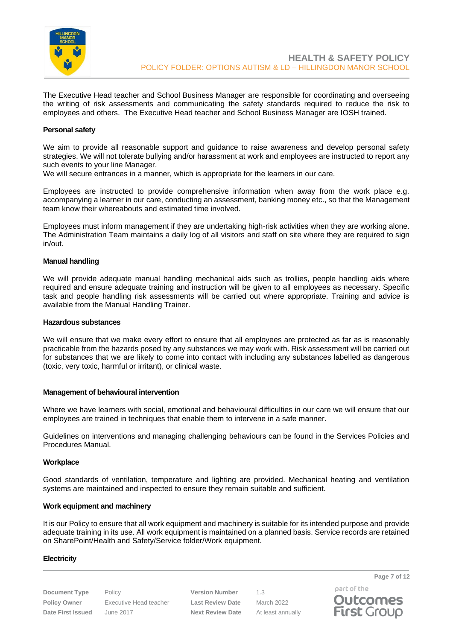

The Executive Head teacher and School Business Manager are responsible for coordinating and overseeing the writing of risk assessments and communicating the safety standards required to reduce the risk to employees and others. The Executive Head teacher and School Business Manager are IOSH trained.

#### **Personal safety**

We aim to provide all reasonable support and guidance to raise awareness and develop personal safety strategies. We will not tolerate bullying and/or harassment at work and employees are instructed to report any such events to your line Manager.

We will secure entrances in a manner, which is appropriate for the learners in our care.

Employees are instructed to provide comprehensive information when away from the work place e.g. accompanying a learner in our care, conducting an assessment, banking money etc., so that the Management team know their whereabouts and estimated time involved.

Employees must inform management if they are undertaking high-risk activities when they are working alone. The Administration Team maintains a daily log of all visitors and staff on site where they are required to sign in/out.

#### **Manual handling**

We will provide adequate manual handling mechanical aids such as trollies, people handling aids where required and ensure adequate training and instruction will be given to all employees as necessary. Specific task and people handling risk assessments will be carried out where appropriate. Training and advice is available from the Manual Handling Trainer.

### **Hazardous substances**

We will ensure that we make every effort to ensure that all employees are protected as far as is reasonably practicable from the hazards posed by any substances we may work with. Risk assessment will be carried out for substances that we are likely to come into contact with including any substances labelled as dangerous (toxic, very toxic, harmful or irritant), or clinical waste.

#### **Management of behavioural intervention**

Where we have learners with social, emotional and behavioural difficulties in our care we will ensure that our employees are trained in techniques that enable them to intervene in a safe manner.

Guidelines on interventions and managing challenging behaviours can be found in the Services Policies and Procedures Manual.

#### **Workplace**

Good standards of ventilation, temperature and lighting are provided. Mechanical heating and ventilation systems are maintained and inspected to ensure they remain suitable and sufficient.

#### **Work equipment and machinery**

It is our Policy to ensure that all work equipment and machinery is suitable for its intended purpose and provide adequate training in its use. All work equipment is maintained on a planned basis. Service records are retained on SharePoint/Health and Safety/Service folder/Work equipment.

#### **Electricity**

**Document Type** Policy **Version Number** 1.3 **Policy Owner** Executive Head teacher **Last Review Date** March 2022 **Date First Issued** June 2017 **Next Review Date** At least annually

part of the **Outcomes First Group** 

**Page 7 of 12**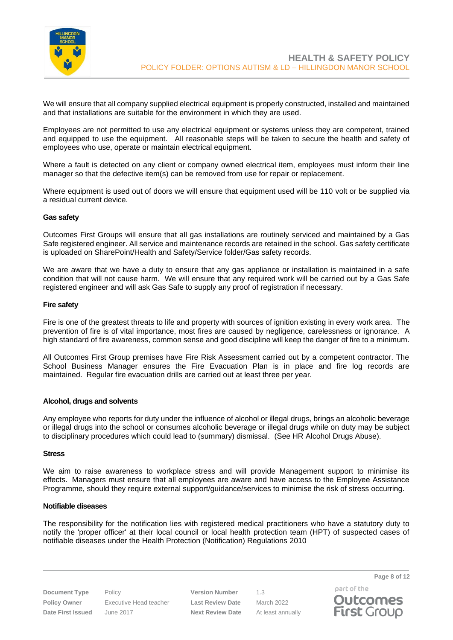

We will ensure that all company supplied electrical equipment is properly constructed, installed and maintained and that installations are suitable for the environment in which they are used.

Employees are not permitted to use any electrical equipment or systems unless they are competent, trained and equipped to use the equipment. All reasonable steps will be taken to secure the health and safety of employees who use, operate or maintain electrical equipment.

Where a fault is detected on any client or company owned electrical item, employees must inform their line manager so that the defective item(s) can be removed from use for repair or replacement.

Where equipment is used out of doors we will ensure that equipment used will be 110 volt or be supplied via a residual current device.

#### **Gas safety**

Outcomes First Groups will ensure that all gas installations are routinely serviced and maintained by a Gas Safe registered engineer. All service and maintenance records are retained in the school. Gas safety certificate is uploaded on SharePoint/Health and Safety/Service folder/Gas safety records.

We are aware that we have a duty to ensure that any gas appliance or installation is maintained in a safe condition that will not cause harm. We will ensure that any required work will be carried out by a Gas Safe registered engineer and will ask Gas Safe to supply any proof of registration if necessary.

#### **Fire safety**

Fire is one of the greatest threats to life and property with sources of ignition existing in every work area. The prevention of fire is of vital importance, most fires are caused by negligence, carelessness or ignorance. A high standard of fire awareness, common sense and good discipline will keep the danger of fire to a minimum.

All Outcomes First Group premises have Fire Risk Assessment carried out by a competent contractor. The School Business Manager ensures the Fire Evacuation Plan is in place and fire log records are maintained. Regular fire evacuation drills are carried out at least three per year.

#### **Alcohol, drugs and solvents**

Any employee who reports for duty under the influence of alcohol or illegal drugs, brings an alcoholic beverage or illegal drugs into the school or consumes alcoholic beverage or illegal drugs while on duty may be subject to disciplinary procedures which could lead to (summary) dismissal. (See HR Alcohol Drugs Abuse).

### **Stress**

We aim to raise awareness to workplace stress and will provide Management support to minimise its effects. Managers must ensure that all employees are aware and have access to the Employee Assistance Programme, should they require external support/guidance/services to minimise the risk of stress occurring.

#### **Notifiable diseases**

The responsibility for the notification lies with registered medical practitioners who have a statutory duty to notify the 'proper officer' at their local council or local health protection team (HPT) of suspected cases of notifiable diseases under the Health Protection (Notification) Regulations 2010

**Document Type** Policy **Version Number** 1.3 **Policy Owner** Executive Head teacher **Last Review Date** March 2022 **Date First Issued** June 2017 **Next Review Date** At least annually

part of the **Outcomes First Group**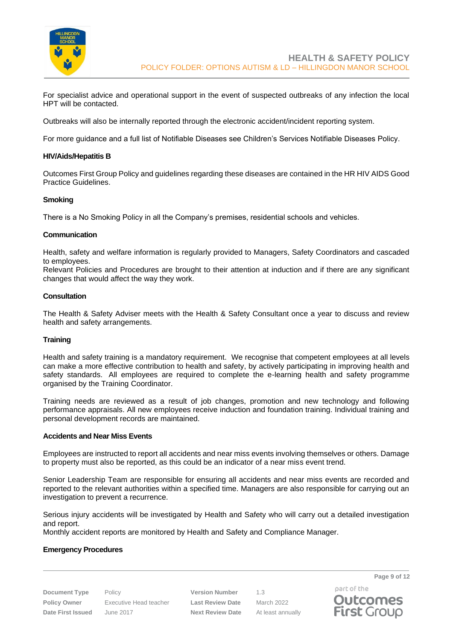

For specialist advice and operational support in the event of suspected outbreaks of any infection the local HPT will be contacted.

Outbreaks will also be internally reported through the electronic accident/incident reporting system.

For more guidance and a full list of Notifiable Diseases see Children's Services Notifiable Diseases Policy.

### **HIV/Aids/Hepatitis B**

Outcomes First Group Policy and guidelines regarding these diseases are contained in the HR HIV AIDS Good Practice Guidelines.

#### **Smoking**

There is a No Smoking Policy in all the Company's premises, residential schools and vehicles.

### **Communication**

Health, safety and welfare information is regularly provided to Managers, Safety Coordinators and cascaded to employees.

Relevant Policies and Procedures are brought to their attention at induction and if there are any significant changes that would affect the way they work.

### **Consultation**

The Health & Safety Adviser meets with the Health & Safety Consultant once a year to discuss and review health and safety arrangements.

#### **Training**

Health and safety training is a mandatory requirement. We recognise that competent employees at all levels can make a more effective contribution to health and safety, by actively participating in improving health and safety standards. All employees are required to complete the e-learning health and safety programme organised by the Training Coordinator.

Training needs are reviewed as a result of job changes, promotion and new technology and following performance appraisals. All new employees receive induction and foundation training. Individual training and personal development records are maintained.

### **Accidents and Near Miss Events**

Employees are instructed to report all accidents and near miss events involving themselves or others. Damage to property must also be reported, as this could be an indicator of a near miss event trend.

Senior Leadership Team are responsible for ensuring all accidents and near miss events are recorded and reported to the relevant authorities within a specified time. Managers are also responsible for carrying out an investigation to prevent a recurrence.

Serious injury accidents will be investigated by Health and Safety who will carry out a detailed investigation and report.

Monthly accident reports are monitored by Health and Safety and Compliance Manager.

#### **Emergency Procedures**

**Document Type** Policy **Version Number** 1.3 **Policy Owner** Executive Head teacher **Last Review Date** March 2022 **Date First Issued** June 2017 **Next Review Date** At least annually

part of the **Outcomes First Group** 

**Page 9 of 12**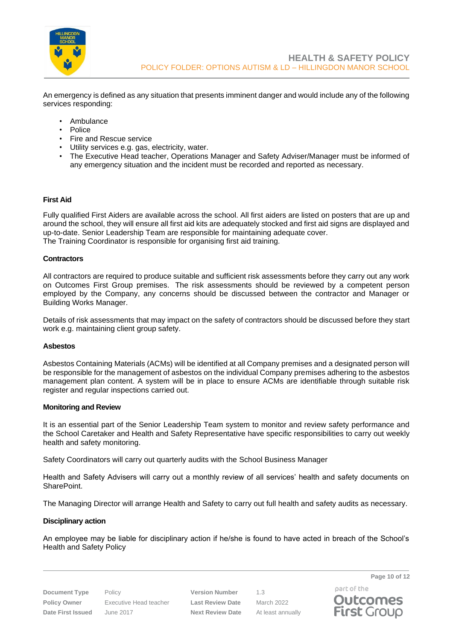

An emergency is defined as any situation that presents imminent danger and would include any of the following services responding:

- Ambulance
- Police
- Fire and Rescue service
- Utility services e.g. gas, electricity, water.
- The Executive Head teacher, Operations Manager and Safety Adviser/Manager must be informed of any emergency situation and the incident must be recorded and reported as necessary.

### **First Aid**

Fully qualified First Aiders are available across the school. All first aiders are listed on posters that are up and around the school, they will ensure all first aid kits are adequately stocked and first aid signs are displayed and up-to-date. Senior Leadership Team are responsible for maintaining adequate cover. The Training Coordinator is responsible for organising first aid training.

### **Contractors**

All contractors are required to produce suitable and sufficient risk assessments before they carry out any work on Outcomes First Group premises. The risk assessments should be reviewed by a competent person employed by the Company, any concerns should be discussed between the contractor and Manager or Building Works Manager.

Details of risk assessments that may impact on the safety of contractors should be discussed before they start work e.g. maintaining client group safety.

### **Asbestos**

Asbestos Containing Materials (ACMs) will be identified at all Company premises and a designated person will be responsible for the management of asbestos on the individual Company premises adhering to the asbestos management plan content. A system will be in place to ensure ACMs are identifiable through suitable risk register and regular inspections carried out.

#### **Monitoring and Review**

It is an essential part of the Senior Leadership Team system to monitor and review safety performance and the School Caretaker and Health and Safety Representative have specific responsibilities to carry out weekly health and safety monitoring.

Safety Coordinators will carry out quarterly audits with the School Business Manager

Health and Safety Advisers will carry out a monthly review of all services' health and safety documents on SharePoint.

The Managing Director will arrange Health and Safety to carry out full health and safety audits as necessary.

#### **Disciplinary action**

An employee may be liable for disciplinary action if he/she is found to have acted in breach of the School's Health and Safety Policy

**Document Type** Policy **Version Number** 1.3 **Policy Owner** Executive Head teacher **Last Review Date** March 2022 **Date First Issued** June 2017 **Next Review Date** At least annually

part of the

**Page 10 of 12**

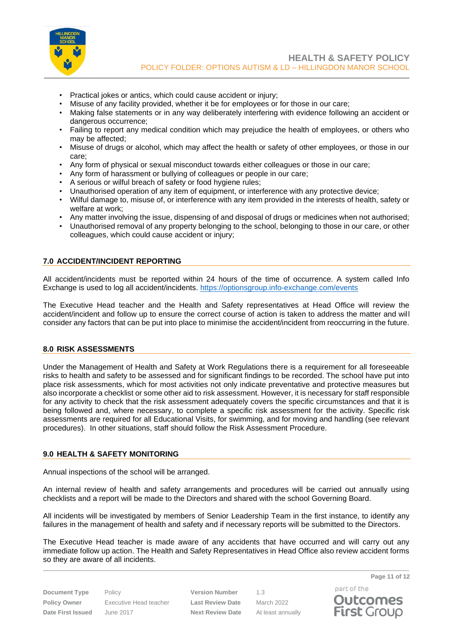

- Practical jokes or antics, which could cause accident or injury;
- Misuse of any facility provided, whether it be for employees or for those in our care;
- Making false statements or in any way deliberately interfering with evidence following an accident or dangerous occurrence;
- Failing to report any medical condition which may prejudice the health of employees, or others who may be affected;
- Misuse of drugs or alcohol, which may affect the health or safety of other employees, or those in our care;
- Any form of physical or sexual misconduct towards either colleagues or those in our care;
- Any form of harassment or bullying of colleagues or people in our care;
- A serious or wilful breach of safety or food hygiene rules;
- Unauthorised operation of any item of equipment, or interference with any protective device;
- Wilful damage to, misuse of, or interference with any item provided in the interests of health, safety or welfare at work;
- Any matter involving the issue, dispensing of and disposal of drugs or medicines when not authorised;
- Unauthorised removal of any property belonging to the school, belonging to those in our care, or other colleagues, which could cause accident or injury;

## <span id="page-10-0"></span>**7.0 ACCIDENT/INCIDENT REPORTING**

All accident/incidents must be reported within 24 hours of the time of occurrence. A system called Info Exchange is used to log all accident/incidents.<https://optionsgroup.info-exchange.com/events>

The Executive Head teacher and the Health and Safety representatives at Head Office will review the accident/incident and follow up to ensure the correct course of action is taken to address the matter and will consider any factors that can be put into place to minimise the accident/incident from reoccurring in the future.

## <span id="page-10-1"></span>**8.0 RISK ASSESSMENTS**

Under the Management of Health and Safety at Work Regulations there is a requirement for all foreseeable risks to health and safety to be assessed and for significant findings to be recorded. The school have put into place risk assessments, which for most activities not only indicate preventative and protective measures but also incorporate a checklist or some other aid to risk assessment. However, it is necessary for staff responsible for any activity to check that the risk assessment adequately covers the specific circumstances and that it is being followed and, where necessary, to complete a specific risk assessment for the activity. Specific risk assessments are required for all Educational Visits, for swimming, and for moving and handling (see relevant procedures). In other situations, staff should follow the Risk Assessment Procedure.

## <span id="page-10-2"></span>**9.0 HEALTH & SAFETY MONITORING**

Annual inspections of the school will be arranged.

An internal review of health and safety arrangements and procedures will be carried out annually using checklists and a report will be made to the Directors and shared with the school Governing Board.

All incidents will be investigated by members of Senior Leadership Team in the first instance, to identify any failures in the management of health and safety and if necessary reports will be submitted to the Directors.

The Executive Head teacher is made aware of any accidents that have occurred and will carry out any immediate follow up action. The Health and Safety Representatives in Head Office also review accident forms so they are aware of all incidents.

**Document Type** Policy **Version Number** 1.3 **Policy Owner** Executive Head teacher **Last Review Date** March 2022 **Date First Issued** June 2017 **Next Review Date** At least annually

**Page 11 of 12** part of the